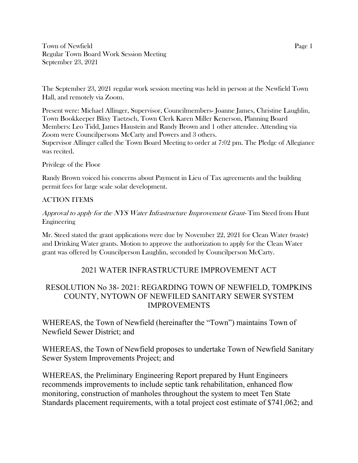Town of Newfield Page 1 Regular Town Board Work Session Meeting September 23, 2021

The September 23, 2021 regular work session meeting was held in person at the Newfield Town Hall, and remotely via Zoom.

Present were: Michael Allinger, Supervisor, Councilmembers- Joanne James, Christine Laughlin, Town Bookkeeper Blixy Taetzsch, Town Clerk Karen Miller Kenerson, Planning Board Members: Leo Tidd, James Haustein and Randy Brown and 1 other attendee. Attending via Zoom were Councilpersons McCarty and Powers and 3 others. Supervisor Allinger called the Town Board Meeting to order at 7:02 pm. The Pledge of Allegiance was recited.

#### Privilege of the Floor

Randy Brown voiced his concerns about Payment in Lieu of Tax agreements and the building permit fees for large scale solar development.

### ACTION ITEMS

Approval to apply for the NYS Water Infrastructure Improvement Grant- Tim Steed from Hunt Engineering

Mr. Steed stated the grant applications were due by November 22, 2021 for Clean Water (waste) and Drinking Water grants. Motion to approve the authorization to apply for the Clean Water grant was offered by Councilperson Laughlin, seconded by Councilperson McCarty.

## 2021 WATER INFRASTRUCTURE IMPROVEMENT ACT

# RESOLUTION No 38- 2021: REGARDING TOWN OF NEWFIELD, TOMPKINS COUNTY, NYTOWN OF NEWFILED SANITARY SEWER SYSTEM IMPROVEMENTS

WHEREAS, the Town of Newfield (hereinafter the "Town") maintains Town of Newfield Sewer District; and

WHEREAS, the Town of Newfield proposes to undertake Town of Newfield Sanitary Sewer System Improvements Project; and

WHEREAS, the Preliminary Engineering Report prepared by Hunt Engineers recommends improvements to include septic tank rehabilitation, enhanced flow monitoring, construction of manholes throughout the system to meet Ten State Standards placement requirements, with a total project cost estimate of \$741,062; and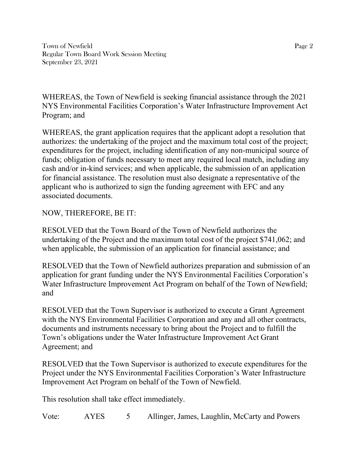Town of Newfield Page 2 Regular Town Board Work Session Meeting September 23, 2021

WHEREAS, the Town of Newfield is seeking financial assistance through the 2021 NYS Environmental Facilities Corporation's Water Infrastructure Improvement Act Program; and

WHEREAS, the grant application requires that the applicant adopt a resolution that authorizes: the undertaking of the project and the maximum total cost of the project; expenditures for the project, including identification of any non-municipal source of funds; obligation of funds necessary to meet any required local match, including any cash and/or in-kind services; and when applicable, the submission of an application for financial assistance. The resolution must also designate a representative of the applicant who is authorized to sign the funding agreement with EFC and any associated documents.

NOW, THEREFORE, BE IT:

RESOLVED that the Town Board of the Town of Newfield authorizes the undertaking of the Project and the maximum total cost of the project \$741,062; and when applicable, the submission of an application for financial assistance; and

RESOLVED that the Town of Newfield authorizes preparation and submission of an application for grant funding under the NYS Environmental Facilities Corporation's Water Infrastructure Improvement Act Program on behalf of the Town of Newfield; and

RESOLVED that the Town Supervisor is authorized to execute a Grant Agreement with the NYS Environmental Facilities Corporation and any and all other contracts, documents and instruments necessary to bring about the Project and to fulfill the Town's obligations under the Water Infrastructure Improvement Act Grant Agreement; and

RESOLVED that the Town Supervisor is authorized to execute expenditures for the Project under the NYS Environmental Facilities Corporation's Water Infrastructure Improvement Act Program on behalf of the Town of Newfield.

This resolution shall take effect immediately.

Vote: AYES 5 Allinger, James, Laughlin, McCarty and Powers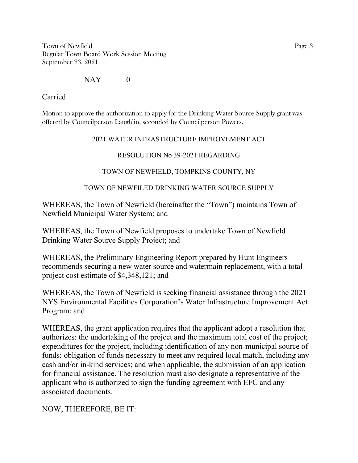Town of Newfield Page 3 Regular Town Board Work Session Meeting September 23, 2021

## $NAY$  0

Carried

Motion to approve the authorization to apply for the Drinking Water Source Supply grant was offered by Councilperson Laughlin, seconded by Councilperson Powers.

#### 2021 WATER INFRASTRUCTURE IMPROVEMENT ACT

### RESOLUTION No 39-2021 REGARDING

### TOWN OF NEWFIELD, TOMPKINS COUNTY, NY

### TOWN OF NEWFILED DRINKING WATER SOURCE SUPPLY

WHEREAS, the Town of Newfield (hereinafter the "Town") maintains Town of Newfield Municipal Water System; and

WHEREAS, the Town of Newfield proposes to undertake Town of Newfield Drinking Water Source Supply Project; and

WHEREAS, the Preliminary Engineering Report prepared by Hunt Engineers recommends securing a new water source and watermain replacement, with a total project cost estimate of \$4,348,121; and

WHEREAS, the Town of Newfield is seeking financial assistance through the 2021 NYS Environmental Facilities Corporation's Water Infrastructure Improvement Act Program; and

WHEREAS, the grant application requires that the applicant adopt a resolution that authorizes: the undertaking of the project and the maximum total cost of the project; expenditures for the project, including identification of any non-municipal source of funds; obligation of funds necessary to meet any required local match, including any cash and/or in-kind services; and when applicable, the submission of an application for financial assistance. The resolution must also designate a representative of the applicant who is authorized to sign the funding agreement with EFC and any associated documents.

NOW, THEREFORE, BE IT: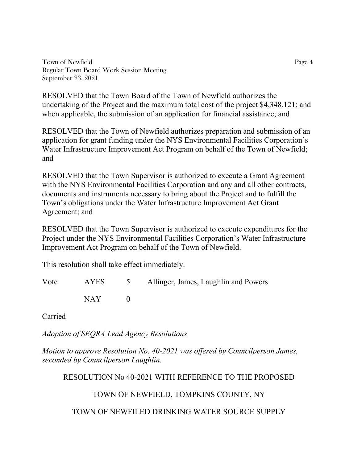Town of Newfield Page 4 Regular Town Board Work Session Meeting September 23, 2021

RESOLVED that the Town Board of the Town of Newfield authorizes the undertaking of the Project and the maximum total cost of the project \$4,348,121; and when applicable, the submission of an application for financial assistance; and

RESOLVED that the Town of Newfield authorizes preparation and submission of an application for grant funding under the NYS Environmental Facilities Corporation's Water Infrastructure Improvement Act Program on behalf of the Town of Newfield; and

RESOLVED that the Town Supervisor is authorized to execute a Grant Agreement with the NYS Environmental Facilities Corporation and any and all other contracts, documents and instruments necessary to bring about the Project and to fulfill the Town's obligations under the Water Infrastructure Improvement Act Grant Agreement; and

RESOLVED that the Town Supervisor is authorized to execute expenditures for the Project under the NYS Environmental Facilities Corporation's Water Infrastructure Improvement Act Program on behalf of the Town of Newfield.

This resolution shall take effect immediately.

| Vote |                              | AYES 5 Allinger, James, Laughlin and Powers |
|------|------------------------------|---------------------------------------------|
|      | NAY NATIONAL SEPTEMBER 1997. |                                             |

Carried

*Adoption of SEQRA Lead Agency Resolutions*

*Motion to approve Resolution No. 40-2021 was offered by Councilperson James, seconded by Councilperson Laughlin.*

RESOLUTION No 40-2021 WITH REFERENCE TO THE PROPOSED

TOWN OF NEWFIELD, TOMPKINS COUNTY, NY

TOWN OF NEWFILED DRINKING WATER SOURCE SUPPLY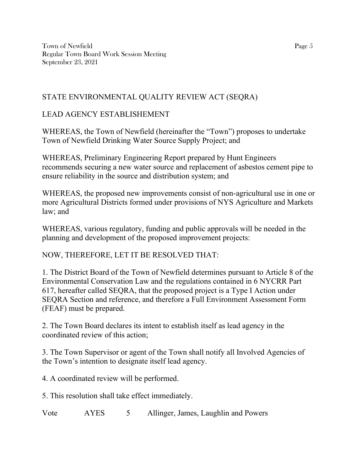Town of Newfield Page 5 Regular Town Board Work Session Meeting September 23, 2021

# STATE ENVIRONMENTAL QUALITY REVIEW ACT (SEQRA)

# LEAD AGENCY ESTABLISHEMENT

WHEREAS, the Town of Newfield (hereinafter the "Town") proposes to undertake Town of Newfield Drinking Water Source Supply Project; and

WHEREAS, Preliminary Engineering Report prepared by Hunt Engineers recommends securing a new water source and replacement of asbestos cement pipe to ensure reliability in the source and distribution system; and

WHEREAS, the proposed new improvements consist of non-agricultural use in one or more Agricultural Districts formed under provisions of NYS Agriculture and Markets law; and

WHEREAS, various regulatory, funding and public approvals will be needed in the planning and development of the proposed improvement projects:

# NOW, THEREFORE, LET IT BE RESOLVED THAT:

1. The District Board of the Town of Newfield determines pursuant to Article 8 of the Environmental Conservation Law and the regulations contained in 6 NYCRR Part 617, hereafter called SEQRA, that the proposed project is a Type I Action under SEQRA Section and reference, and therefore a Full Environment Assessment Form (FEAF) must be prepared.

2. The Town Board declares its intent to establish itself as lead agency in the coordinated review of this action;

3. The Town Supervisor or agent of the Town shall notify all Involved Agencies of the Town's intention to designate itself lead agency.

4. A coordinated review will be performed.

5. This resolution shall take effect immediately.

Vote AYES 5 Allinger, James, Laughlin and Powers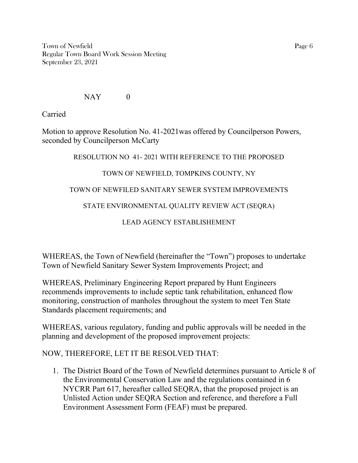Town of Newfield Page 6 Regular Town Board Work Session Meeting September 23, 2021

### NAY 0

Carried

Motion to approve Resolution No. 41-2021was offered by Councilperson Powers, seconded by Councilperson McCarty

## RESOLUTION NO 41- 2021 WITH REFERENCE TO THE PROPOSED

# TOWN OF NEWFIELD, TOMPKINS COUNTY, NY

# TOWN OF NEWFILED SANITARY SEWER SYSTEM IMPROVEMENTS

# STATE ENVIRONMENTAL QUALITY REVIEW ACT (SEQRA)

LEAD AGENCY ESTABLISHEMENT

WHEREAS, the Town of Newfield (hereinafter the "Town") proposes to undertake Town of Newfield Sanitary Sewer System Improvements Project; and

WHEREAS, Preliminary Engineering Report prepared by Hunt Engineers recommends improvements to include septic tank rehabilitation, enhanced flow monitoring, construction of manholes throughout the system to meet Ten State Standards placement requirements; and

WHEREAS, various regulatory, funding and public approvals will be needed in the planning and development of the proposed improvement projects:

NOW, THEREFORE, LET IT BE RESOLVED THAT:

1. The District Board of the Town of Newfield determines pursuant to Article 8 of the Environmental Conservation Law and the regulations contained in 6 NYCRR Part 617, hereafter called SEQRA, that the proposed project is an Unlisted Action under SEQRA Section and reference, and therefore a Full Environment Assessment Form (FEAF) must be prepared.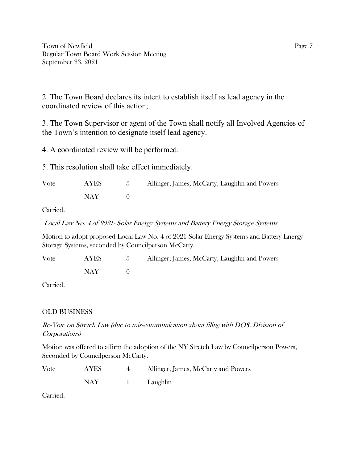Town of Newfield Page 7 Regular Town Board Work Session Meeting September 23, 2021

2. The Town Board declares its intent to establish itself as lead agency in the coordinated review of this action;

3. The Town Supervisor or agent of the Town shall notify all Involved Agencies of the Town's intention to designate itself lead agency.

4. A coordinated review will be performed.

5. This resolution shall take effect immediately.

| Vote | <b>AYES</b> | Allinger, James, McCarty, Laughlin and Powers |
|------|-------------|-----------------------------------------------|
|      | NAY -       |                                               |

Carried.

Local Law No. 4 of 2021- Solar Energy Systems and Battery Energy Storage Systems

Motion to adopt proposed Local Law No. 4 of 2021 Solar Energy Systems and Battery Energy Storage Systems, seconded by Councilperson McCarty.

| Vote | AYES  | Allinger, James, McCarty, Laughlin and Powers |
|------|-------|-----------------------------------------------|
|      | NAY - |                                               |

Carried.

### OLD BUSINESS

Re-Vote on Stretch Law (due to mis-communication about filing with DOS, Division of Corporations)

Motion was offered to affirm the adoption of the NY Stretch Law by Councilperson Powers, Seconded by Councilperson McCarty.

| Vote | <b>AYES</b> | Allinger, James, McCarty and Powers |
|------|-------------|-------------------------------------|
|      | NAY         | Laughlin                            |

Carried.